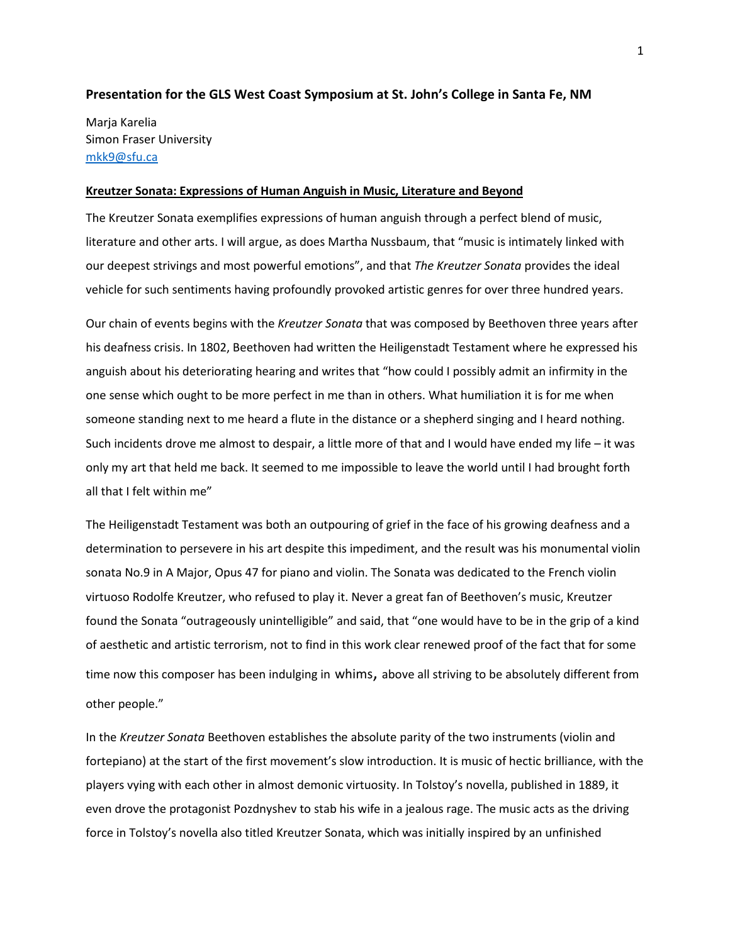## **Presentation for the GLS West Coast Symposium at St. John's College in Santa Fe, NM**

Marja Karelia Simon Fraser University [mkk9@sfu.ca](mailto:mkk9@sfu.ca)

#### **Kreutzer Sonata: Expressions of Human Anguish in Music, Literature and Beyond**

The Kreutzer Sonata exemplifies expressions of human anguish through a perfect blend of music, literature and other arts. I will argue, as does Martha Nussbaum, that "music is intimately linked with our deepest strivings and most powerful emotions", and that *The Kreutzer Sonata* provides the ideal vehicle for such sentiments having profoundly provoked artistic genres for over three hundred years.

Our chain of events begins with the *Kreutzer Sonata* that was composed by Beethoven three years after his deafness crisis. In 1802, Beethoven had written the Heiligenstadt Testament where he expressed his anguish about his deteriorating hearing and writes that "how could I possibly admit an infirmity in the one sense which ought to be more perfect in me than in others. What humiliation it is for me when someone standing next to me heard a flute in the distance or a shepherd singing and I heard nothing. Such incidents drove me almost to despair, a little more of that and I would have ended my life – it was only my art that held me back. It seemed to me impossible to leave the world until I had brought forth all that I felt within me"

The Heiligenstadt Testament was both an outpouring of grief in the face of his growing deafness and a determination to persevere in his art despite this impediment, and the result was his monumental violin sonata No.9 in A Major, Opus 47 for piano and violin. The Sonata was dedicated to the French violin virtuoso Rodolfe Kreutzer, who refused to play it. Never a great fan of Beethoven's music, Kreutzer found the Sonata "outrageously unintelligible" and said, that "one would have to be in the grip of a kind of aesthetic and artistic terrorism, not to find in this work clear renewed proof of the fact that for some time now this composer has been indulging in whims, above all striving to be absolutely different from other people."

In the *Kreutzer Sonata* Beethoven establishes the absolute parity of the two instruments (violin and fortepiano) at the start of the first movement's slow introduction. It is music of hectic brilliance, with the players vying with each other in almost demonic virtuosity. In Tolstoy's novella, published in 1889, it even drove the protagonist Pozdnyshev to stab his wife in a jealous rage. The music acts as the driving force in Tolstoy's novella also titled Kreutzer Sonata, which was initially inspired by an unfinished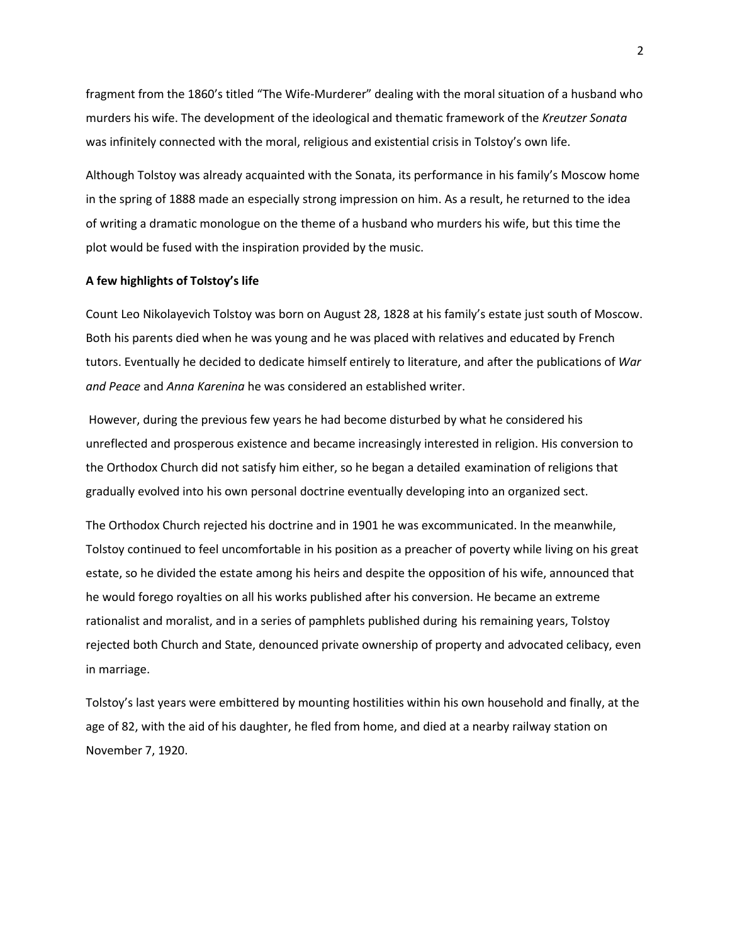fragment from the 1860's titled "The Wife-Murderer" dealing with the moral situation of a husband who murders his wife. The development of the ideological and thematic framework of the *Kreutzer Sonata* was infinitely connected with the moral, religious and existential crisis in Tolstoy's own life.

Although Tolstoy was already acquainted with the Sonata, its performance in his family's Moscow home in the spring of 1888 made an especially strong impression on him. As a result, he returned to the idea of writing a dramatic monologue on the theme of a husband who murders his wife, but this time the plot would be fused with the inspiration provided by the music.

## **A few highlights of Tolstoy's life**

Count Leo Nikolayevich Tolstoy was born on August 28, 1828 at his family's estate just south of Moscow. Both his parents died when he was young and he was placed with relatives and educated by French tutors. Eventually he decided to dedicate himself entirely to literature, and after the publications of *War and Peace* and *Anna Karenina* he was considered an established writer.

However, during the previous few years he had become disturbed by what he considered his unreflected and prosperous existence and became increasingly interested in religion. His conversion to the Orthodox Church did not satisfy him either, so he began a detailed examination of religions that gradually evolved into his own personal doctrine eventually developing into an organized sect.

The Orthodox Church rejected his doctrine and in 1901 he was excommunicated. In the meanwhile, Tolstoy continued to feel uncomfortable in his position as a preacher of poverty while living on his great estate, so he divided the estate among his heirs and despite the opposition of his wife, announced that he would forego royalties on all his works published after his conversion. He became an extreme rationalist and moralist, and in a series of pamphlets published during his remaining years, Tolstoy rejected both Church and State, denounced private ownership of property and advocated celibacy, even in marriage.

Tolstoy's last years were embittered by mounting hostilities within his own household and finally, at the age of 82, with the aid of his daughter, he fled from home, and died at a nearby railway station on November 7, 1920.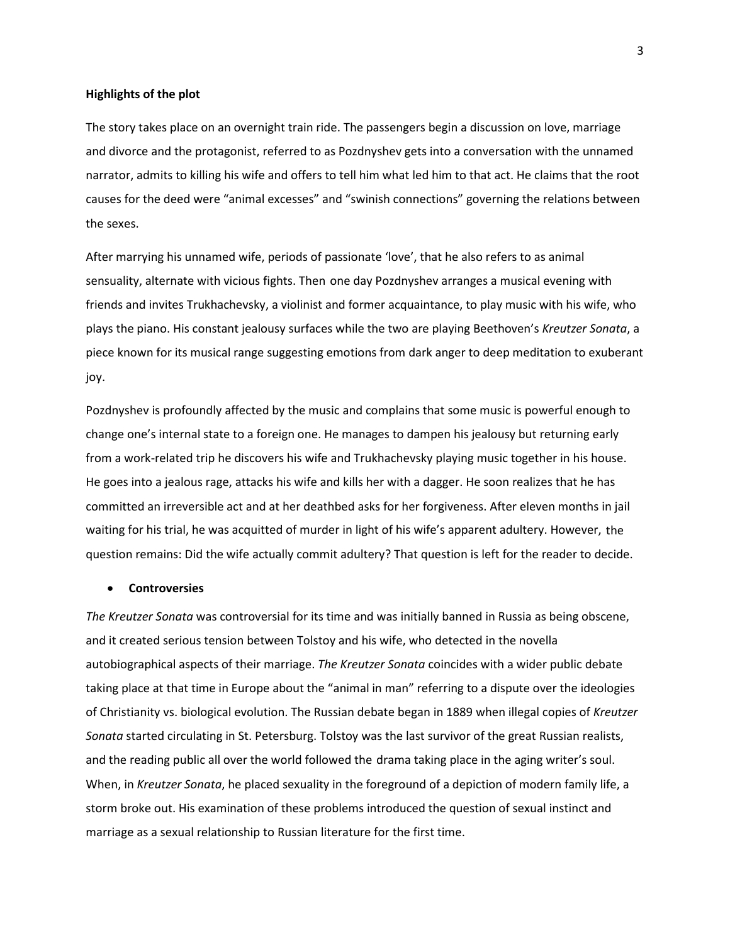#### **Highlights of the plot**

The story takes place on an overnight train ride. The passengers begin a discussion on love, marriage and divorce and the protagonist, referred to as Pozdnyshev gets into a conversation with the unnamed narrator, admits to killing his wife and offers to tell him what led him to that act. He claims that the root causes for the deed were "animal excesses" and "swinish connections" governing the relations between the sexes.

After marrying his unnamed wife, periods of passionate 'love', that he also refers to as animal sensuality, alternate with vicious fights. Then one day Pozdnyshev arranges a musical evening with friends and invites Trukhachevsky, a violinist and former acquaintance, to play music with his wife, who plays the piano. His constant jealousy surfaces while the two are playing Beethoven's *Kreutzer Sonata*, a piece known for its musical range suggesting emotions from dark anger to deep meditation to exuberant joy.

Pozdnyshev is profoundly affected by the music and complains that some music is powerful enough to change one's internal state to a foreign one. He manages to dampen his jealousy but returning early from a work-related trip he discovers his wife and Trukhachevsky playing music together in his house. He goes into a jealous rage, attacks his wife and kills her with a dagger. He soon realizes that he has committed an irreversible act and at her deathbed asks for her forgiveness. After eleven months in jail waiting for his trial, he was acquitted of murder in light of his wife's apparent adultery. However, the question remains: Did the wife actually commit adultery? That question is left for the reader to decide.

# • **Controversies**

*The Kreutzer Sonata* was controversial for its time and was initially banned in Russia as being obscene, and it created serious tension between Tolstoy and his wife, who detected in the novella autobiographical aspects of their marriage. *The Kreutzer Sonata* coincides with a wider public debate taking place at that time in Europe about the "animal in man" referring to a dispute over the ideologies of Christianity vs. biological evolution. The Russian debate began in 1889 when illegal copies of *Kreutzer Sonata* started circulating in St. Petersburg. Tolstoy was the last survivor of the great Russian realists, and the reading public all over the world followed the drama taking place in the aging writer's soul. When, in *Kreutzer Sonata*, he placed sexuality in the foreground of a depiction of modern family life, a storm broke out. His examination of these problems introduced the question of sexual instinct and marriage as a sexual relationship to Russian literature for the first time.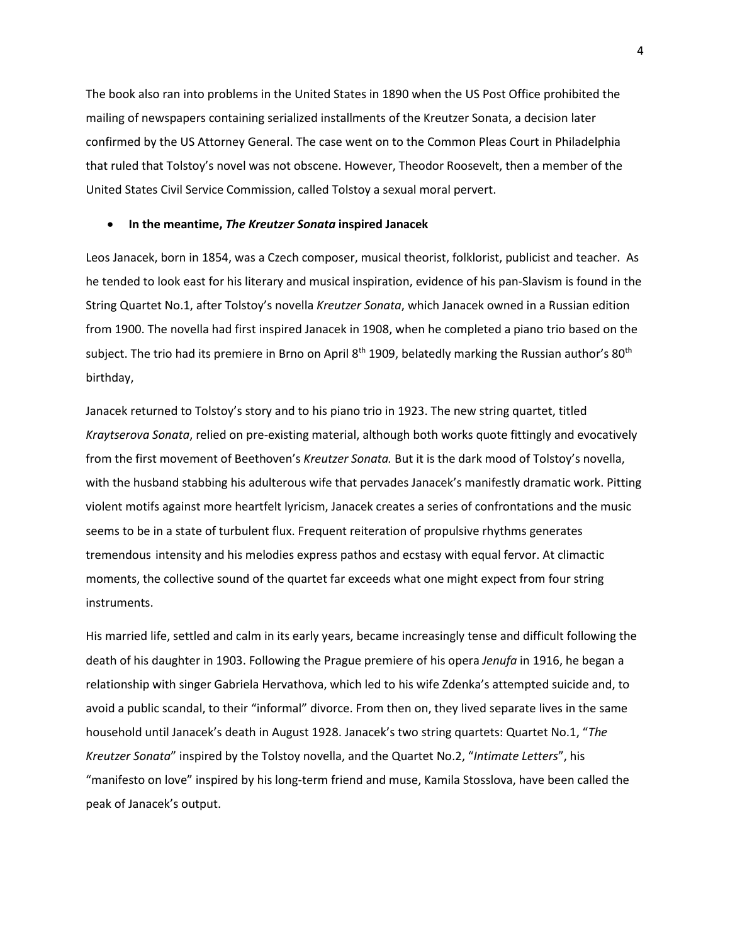The book also ran into problems in the United States in 1890 when the US Post Office prohibited the mailing of newspapers containing serialized installments of the Kreutzer Sonata, a decision later confirmed by the US Attorney General. The case went on to the Common Pleas Court in Philadelphia that ruled that Tolstoy's novel was not obscene. However, Theodor Roosevelt, then a member of the United States Civil Service Commission, called Tolstoy a sexual moral pervert.

### • **In the meantime,** *The Kreutzer Sonata* **inspired Janacek**

Leos Janacek, born in 1854, was a Czech composer, musical theorist, folklorist, publicist and teacher. As he tended to look east for his literary and musical inspiration, evidence of his pan-Slavism is found in the String Quartet No.1, after Tolstoy's novella *Kreutzer Sonata*, which Janacek owned in a Russian edition from 1900. The novella had first inspired Janacek in 1908, when he completed a piano trio based on the subject. The trio had its premiere in Brno on April 8<sup>th</sup> 1909, belatedly marking the Russian author's 80<sup>th</sup> birthday,

Janacek returned to Tolstoy's story and to his piano trio in 1923. The new string quartet, titled *Kraytserova Sonata*, relied on pre-existing material, although both works quote fittingly and evocatively from the first movement of Beethoven's *Kreutzer Sonata.* But it is the dark mood of Tolstoy's novella, with the husband stabbing his adulterous wife that pervades Janacek's manifestly dramatic work. Pitting violent motifs against more heartfelt lyricism, Janacek creates a series of confrontations and the music seems to be in a state of turbulent flux. Frequent reiteration of propulsive rhythms generates tremendous intensity and his melodies express pathos and ecstasy with equal fervor. At climactic moments, the collective sound of the quartet far exceeds what one might expect from four string instruments.

His married life, settled and calm in its early years, became increasingly tense and difficult following the death of his daughter in 1903. Following the Prague premiere of his opera *Jenufa* in 1916, he began a relationship with singer Gabriela Hervathova, which led to his wife Zdenka's attempted suicide and, to avoid a public scandal, to their "informal" divorce. From then on, they lived separate lives in the same household until Janacek's death in August 1928. Janacek's two string quartets: Quartet No.1, "*The Kreutzer Sonata*" inspired by the Tolstoy novella, and the Quartet No.2, "*Intimate Letters*", his "manifesto on love" inspired by his long-term friend and muse, Kamila Stosslova, have been called the peak of Janacek's output.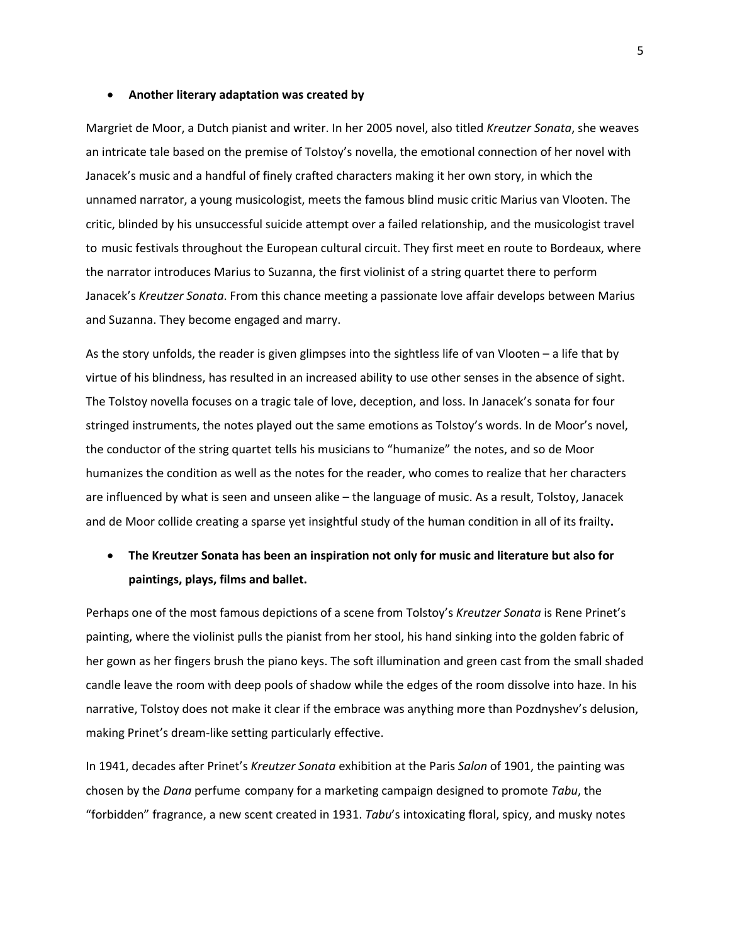#### • **Another literary adaptation was created by**

Margriet de Moor, a Dutch pianist and writer. In her 2005 novel, also titled *Kreutzer Sonata*, she weaves an intricate tale based on the premise of Tolstoy's novella, the emotional connection of her novel with Janacek's music and a handful of finely crafted characters making it her own story, in which the unnamed narrator, a young musicologist, meets the famous blind music critic Marius van Vlooten. The critic, blinded by his unsuccessful suicide attempt over a failed relationship, and the musicologist travel to music festivals throughout the European cultural circuit. They first meet en route to Bordeaux, where the narrator introduces Marius to Suzanna, the first violinist of a string quartet there to perform Janacek's *Kreutzer Sonata*. From this chance meeting a passionate love affair develops between Marius and Suzanna. They become engaged and marry.

As the story unfolds, the reader is given glimpses into the sightless life of van Vlooten – a life that by virtue of his blindness, has resulted in an increased ability to use other senses in the absence of sight. The Tolstoy novella focuses on a tragic tale of love, deception, and loss. In Janacek's sonata for four stringed instruments, the notes played out the same emotions as Tolstoy's words. In de Moor's novel, the conductor of the string quartet tells his musicians to "humanize" the notes, and so de Moor humanizes the condition as well as the notes for the reader, who comes to realize that her characters are influenced by what is seen and unseen alike – the language of music. As a result, Tolstoy, Janacek and de Moor collide creating a sparse yet insightful study of the human condition in all of its frailty**.** 

# • **The Kreutzer Sonata has been an inspiration not only for music and literature but also for paintings, plays, films and ballet.**

Perhaps one of the most famous depictions of a scene from Tolstoy's *Kreutzer Sonata* is Rene Prinet's painting, where the violinist pulls the pianist from her stool, his hand sinking into the golden fabric of her gown as her fingers brush the piano keys. The soft illumination and green cast from the small shaded candle leave the room with deep pools of shadow while the edges of the room dissolve into haze. In his narrative, Tolstoy does not make it clear if the embrace was anything more than Pozdnyshev's delusion, making Prinet's dream-like setting particularly effective.

In 1941, decades after Prinet's *Kreutzer Sonata* exhibition at the Paris *Salon* of 1901, the painting was chosen by the *Dana* perfume company for a marketing campaign designed to promote *Tabu*, the "forbidden" fragrance, a new scent created in 1931. *Tabu*'s intoxicating floral, spicy, and musky notes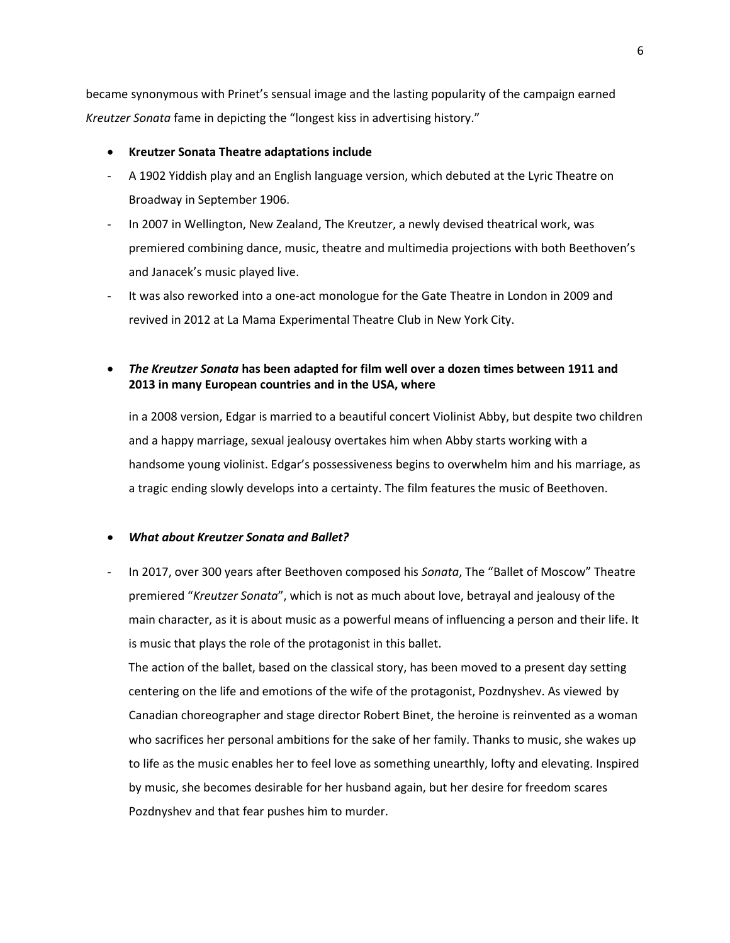became synonymous with Prinet's sensual image and the lasting popularity of the campaign earned *Kreutzer Sonata* fame in depicting the "longest kiss in advertising history."

## • **Kreutzer Sonata Theatre adaptations include**

- A 1902 Yiddish play and an English language version, which debuted at the Lyric Theatre on Broadway in September 1906.
- In 2007 in Wellington, New Zealand, The Kreutzer, a newly devised theatrical work, was premiered combining dance, music, theatre and multimedia projections with both Beethoven's and Janacek's music played live.
- It was also reworked into a one-act monologue for the Gate Theatre in London in 2009 and revived in 2012 at La Mama Experimental Theatre Club in New York City.
- *The Kreutzer Sonata* **has been adapted for film well over a dozen times between 1911 and 2013 in many European countries and in the USA, where**

in a 2008 version, Edgar is married to a beautiful concert Violinist Abby, but despite two children and a happy marriage, sexual jealousy overtakes him when Abby starts working with a handsome young violinist. Edgar's possessiveness begins to overwhelm him and his marriage, as a tragic ending slowly develops into a certainty. The film features the music of Beethoven.

# • *What about Kreutzer Sonata and Ballet?*

- In 2017, over 300 years after Beethoven composed his *Sonata*, The "Ballet of Moscow" Theatre premiered "*Kreutzer Sonata*", which is not as much about love, betrayal and jealousy of the main character, as it is about music as a powerful means of influencing a person and their life. It is music that plays the role of the protagonist in this ballet.

The action of the ballet, based on the classical story, has been moved to a present day setting centering on the life and emotions of the wife of the protagonist, Pozdnyshev. As viewed by Canadian choreographer and stage director Robert Binet, the heroine is reinvented as a woman who sacrifices her personal ambitions for the sake of her family. Thanks to music, she wakes up to life as the music enables her to feel love as something unearthly, lofty and elevating. Inspired by music, she becomes desirable for her husband again, but her desire for freedom scares Pozdnyshev and that fear pushes him to murder.